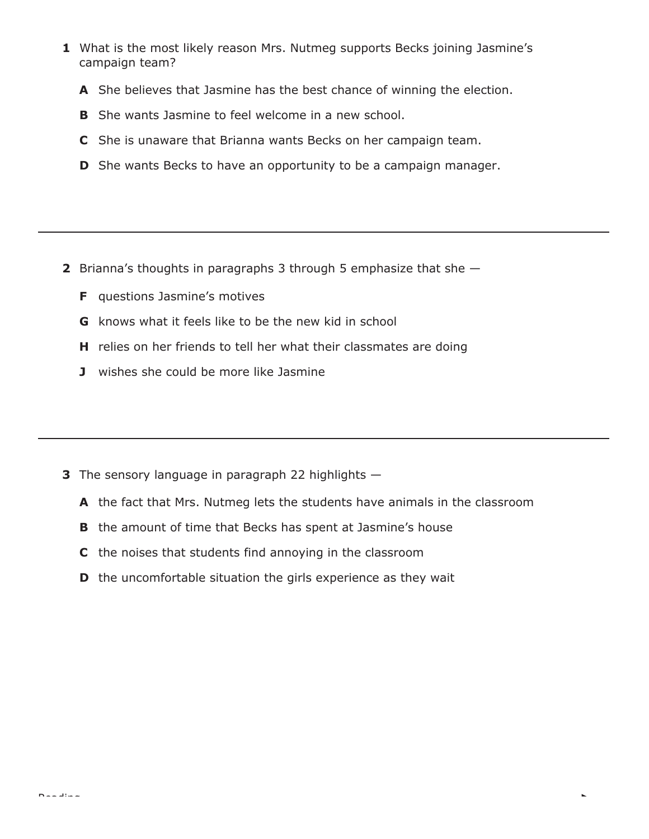- **1** What is the most likely reason Mrs. Nutmeg supports Becks joining Jasmine's campaign team?
	- **A** She believes that Jasmine has the best chance of winning the election.
	- **B** She wants Jasmine to feel welcome in a new school.
	- **C** She is unaware that Brianna wants Becks on her campaign team.
	- **D** She wants Becks to have an opportunity to be a campaign manager.

- **2** Brianna's thoughts in paragraphs 3 through 5 emphasize that she
	- **F** questions Jasmine's motives
	- **G** knows what it feels like to be the new kid in school
	- **H** relies on her friends to tell her what their classmates are doing
	- **J** wishes she could be more like Jasmine

- **3** The sensory language in paragraph 22 highlights
	- **A** the fact that Mrs. Nutmeg lets the students have animals in the classroom
	- **B** the amount of time that Becks has spent at Jasmine's house
	- **C** the noises that students find annoying in the classroom
	- **D** the uncomfortable situation the girls experience as they wait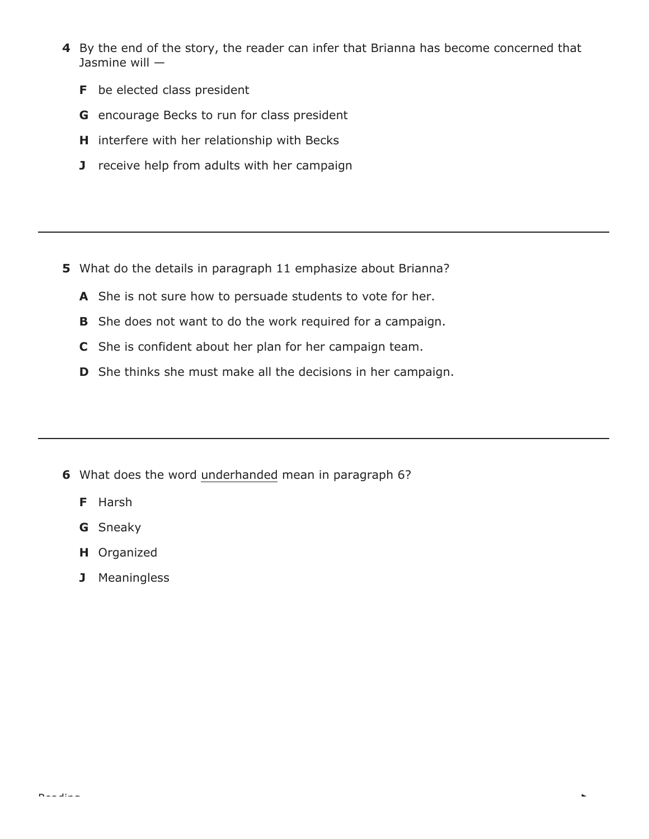- **4** By the end of the story, the reader can infer that Brianna has become concerned that Jasmine will —
	- **F** be elected class president
	- **G** encourage Becks to run for class president
	- **H** interfere with her relationship with Becks
	- **J** receive help from adults with her campaign

- **5** What do the details in paragraph 11 emphasize about Brianna?
	- **A** She is not sure how to persuade students to vote for her.
	- **B** She does not want to do the work required for a campaign.
	- **C** She is confident about her plan for her campaign team.
	- **D** She thinks she must make all the decisions in her campaign.

L

- **6** What does the word underhanded mean in paragraph 6?
	- **F** Harsh
	- **G** Sneaky
	- **H** Organized
	- **J** Meaningless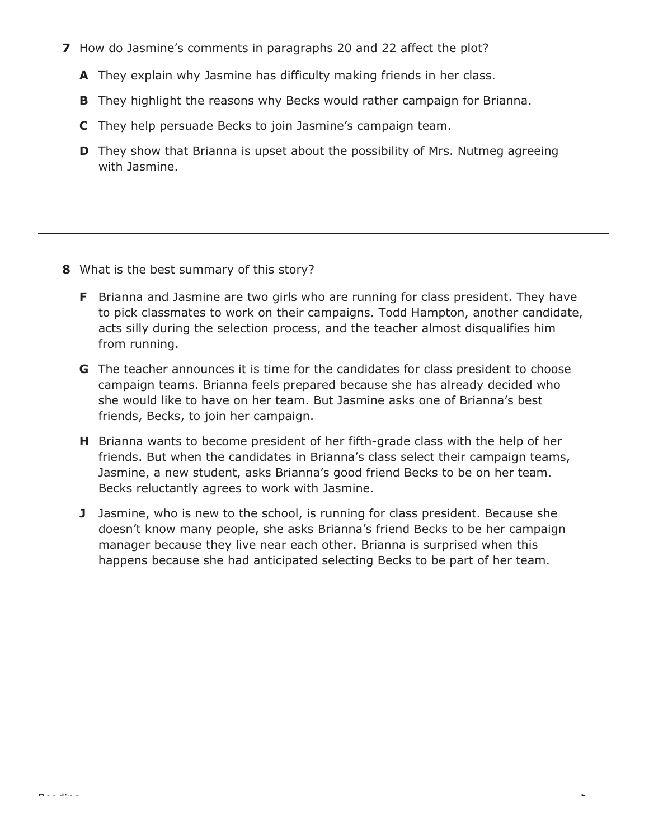- **7** How do Jasmine's comments in paragraphs 20 and 22 affect the plot?
	- **A** They explain why Jasmine has difficulty making friends in her class.
	- **B** They highlight the reasons why Becks would rather campaign for Brianna.
	- **C** They help persuade Becks to join Jasmine's campaign team.
	- **D** They show that Brianna is upset about the possibility of Mrs. Nutmeg agreeing with Jasmine.

- **8** What is the best summary of this story?
	- **F** Brianna and Jasmine are two girls who are running for class president. They have to pick classmates to work on their campaigns. Todd Hampton, another candidate, acts silly during the selection process, and the teacher almost disqualifies him from running.
	- **G** The teacher announces it is time for the candidates for class president to choose campaign teams. Brianna feels prepared because she has already decided who she would like to have on her team. But Jasmine asks one of Brianna's best friends, Becks, to join her campaign.
	- **H** Brianna wants to become president of her fifth-grade class with the help of her friends. But when the candidates in Brianna's class select their campaign teams, Jasmine, a new student, asks Brianna's good friend Becks to be on her team. Becks reluctantly agrees to work with Jasmine.
	- **J** Jasmine, who is new to the school, is running for class president. Because she doesn't know many people, she asks Brianna's friend Becks to be her campaign manager because they live near each other. Brianna is surprised when this happens because she had anticipated selecting Becks to be part of her team.